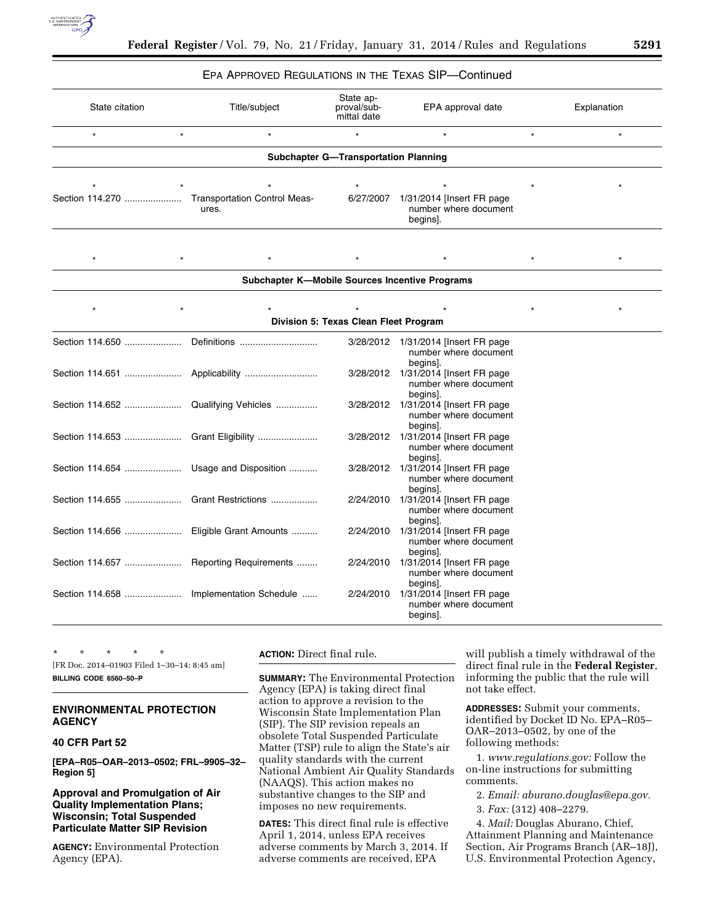

### EPA APPROVED REGULATIONS IN THE TEXAS SIP—Continued

| State citation                              |         | Title/subject                                | State ap-<br>proval/sub-<br>mittal date | EPA approval date                                                | Explanation |  |  |
|---------------------------------------------|---------|----------------------------------------------|-----------------------------------------|------------------------------------------------------------------|-------------|--|--|
| $\star$<br>$^\star$<br>$\star$              |         | $\star$                                      |                                         | $\star$                                                          | $\star$     |  |  |
| <b>Subchapter G-Transportation Planning</b> |         |                                              |                                         |                                                                  |             |  |  |
|                                             | $\star$ | $\star$                                      | $\star$                                 |                                                                  |             |  |  |
| Section 114.270                             |         | <b>Transportation Control Meas-</b><br>ures. | 6/27/2007                               | $1/31/2014$ [Insert FR page<br>number where document<br>begins]. |             |  |  |

| <b>Subchapter K-Mobile Sources Incentive Programs</b> |  |  |  |  |  |  |  |
|-------------------------------------------------------|--|--|--|--|--|--|--|

| Division 5: Texas Clean Fleet Program   |                         |           |                                                                  |  |  |  |
|-----------------------------------------|-------------------------|-----------|------------------------------------------------------------------|--|--|--|
| Section 114.650                         | Definitions             | 3/28/2012 | $1/31/2014$ [Insert FR page<br>number where document<br>begins]. |  |  |  |
|                                         |                         | 3/28/2012 | $1/31/2014$ [Insert FR page<br>number where document<br>begins]. |  |  |  |
| Section 114.652                         | Qualifying Vehicles     | 3/28/2012 | $1/31/2014$ [Insert FR page<br>number where document<br>begins]. |  |  |  |
|                                         |                         | 3/28/2012 | $1/31/2014$ [lnsert FR page<br>number where document<br>begins]. |  |  |  |
|                                         |                         | 3/28/2012 | $1/31/2014$ [lnsert FR page<br>number where document<br>begins]. |  |  |  |
| Section 114.655                         | Grant Restrictions      | 2/24/2010 | $1/31/2014$ [Insert FR page<br>number where document<br>begins]. |  |  |  |
| Section 114.656                         | Eligible Grant Amounts  | 2/24/2010 | 1/31/2014 [Insert FR page<br>number where document<br>begins].   |  |  |  |
| Section 114.657  Reporting Requirements |                         | 2/24/2010 | $1/31/2014$ [lnsert FR page<br>number where document<br>begins]. |  |  |  |
| Section 114.658                         | Implementation Schedule | 2/24/2010 | $1/31/2014$ [Insert FR page<br>number where document<br>begins]. |  |  |  |

| $\ast$ | ÷ |                        |                                             | <b>ACTION: Direct:</b> |
|--------|---|------------------------|---------------------------------------------|------------------------|
|        |   |                        | [FR Doc. 2014–01903 Filed 1–30–14: 8:45 am] |                        |
|        |   | BILLING CODE 6560-50-P |                                             | <b>SUMMARY:</b> The    |

# **ENVIRONMENTAL PROTECTION AGENCY**

# **40 CFR Part 52**

**[EPA–R05–OAR–2013–0502; FRL–9905–32– Region 5]** 

**Approval and Promulgation of Air Quality Implementation Plans; Wisconsin; Total Suspended Particulate Matter SIP Revision** 

**AGENCY:** Environmental Protection Agency (EPA).

final rule.

Environmental Protection Agency (EPA) is taking direct final action to approve a revision to the Wisconsin State Implementation Plan (SIP). The SIP revision repeals an obsolete Total Suspended Particulate Matter (TSP) rule to align the State's air quality standards with the current National Ambient Air Quality Standards (NAAQS). This action makes no substantive changes to the SIP and imposes no new requirements.

**DATES:** This direct final rule is effective April 1, 2014, unless EPA receives adverse comments by March 3, 2014. If adverse comments are received, EPA

will publish a timely withdrawal of the direct final rule in the **Federal Register**, informing the public that the rule will not take effect.

**ADDRESSES:** Submit your comments, identified by Docket ID No. EPA–R05– OAR–2013–0502, by one of the following methods:

1. *[www.regulations.gov:](http://www.regulations.gov)* Follow the on-line instructions for submitting comments.

2. *Email: [aburano.douglas@epa.gov.](mailto:aburano.douglas@epa.gov)* 

3. *Fax:* (312) 408–2279.

4. *Mail:* Douglas Aburano, Chief, Attainment Planning and Maintenance Section, Air Programs Branch (AR–18J), U.S. Environmental Protection Agency,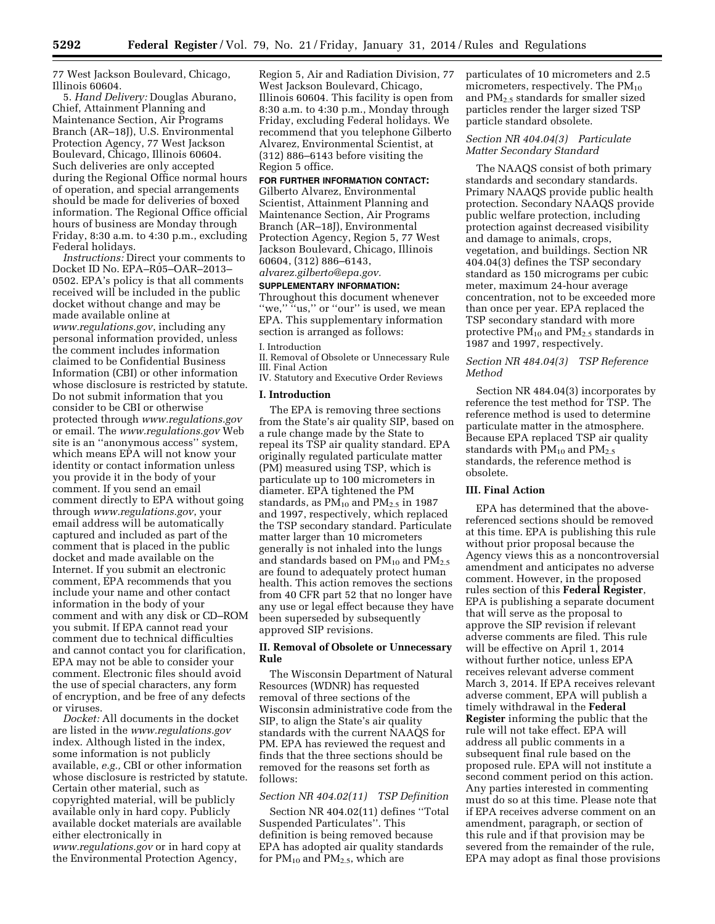77 West Jackson Boulevard, Chicago, Illinois 60604.

5. *Hand Delivery:* Douglas Aburano, Chief, Attainment Planning and Maintenance Section, Air Programs Branch (AR–18J), U.S. Environmental Protection Agency, 77 West Jackson Boulevard, Chicago, Illinois 60604. Such deliveries are only accepted during the Regional Office normal hours of operation, and special arrangements should be made for deliveries of boxed information. The Regional Office official hours of business are Monday through Friday, 8:30 a.m. to 4:30 p.m., excluding Federal holidays.

*Instructions:* Direct your comments to Docket ID No. EPA–R05–OAR–2013– 0502. EPA's policy is that all comments received will be included in the public docket without change and may be made available online at *[www.regulations.gov](http://www.regulations.gov)*, including any personal information provided, unless the comment includes information claimed to be Confidential Business Information (CBI) or other information whose disclosure is restricted by statute. Do not submit information that you consider to be CBI or otherwise protected through *[www.regulations.gov](http://www.regulations.gov)*  or email. The *[www.regulations.gov](http://www.regulations.gov)* Web site is an ''anonymous access'' system, which means EPA will not know your identity or contact information unless you provide it in the body of your comment. If you send an email comment directly to EPA without going through *[www.regulations.gov](http://www.regulations.gov)*, your email address will be automatically captured and included as part of the comment that is placed in the public docket and made available on the Internet. If you submit an electronic comment, EPA recommends that you include your name and other contact information in the body of your comment and with any disk or CD–ROM you submit. If EPA cannot read your comment due to technical difficulties and cannot contact you for clarification, EPA may not be able to consider your comment. Electronic files should avoid the use of special characters, any form of encryption, and be free of any defects or viruses.

*Docket:* All documents in the docket are listed in the *[www.regulations.gov](http://www.regulations.gov)*  index. Although listed in the index, some information is not publicly available, *e.g.,* CBI or other information whose disclosure is restricted by statute. Certain other material, such as copyrighted material, will be publicly available only in hard copy. Publicly available docket materials are available either electronically in *[www.regulations.gov](http://www.regulations.gov)* or in hard copy at the Environmental Protection Agency,

Region 5, Air and Radiation Division, 77 West Jackson Boulevard, Chicago, Illinois 60604. This facility is open from 8:30 a.m. to 4:30 p.m., Monday through Friday, excluding Federal holidays. We recommend that you telephone Gilberto Alvarez, Environmental Scientist, at (312) 886–6143 before visiting the Region 5 office.

# **FOR FURTHER INFORMATION CONTACT:**

Gilberto Alvarez, Environmental Scientist, Attainment Planning and Maintenance Section, Air Programs Branch (AR–18J), Environmental Protection Agency, Region 5, 77 West Jackson Boulevard, Chicago, Illinois 60604, (312) 886–6143, *[alvarez.gilberto@epa.gov.](mailto:alvarez.gilberto@epa.gov)* 

#### **SUPPLEMENTARY INFORMATION:**

Throughout this document whenever "we," "us," or "our" is used, we mean EPA. This supplementary information section is arranged as follows:

# I. Introduction

II. Removal of Obsolete or Unnecessary Rule III. Final Action

IV. Statutory and Executive Order Reviews

## **I. Introduction**

The EPA is removing three sections from the State's air quality SIP, based on a rule change made by the State to repeal its TSP air quality standard. EPA originally regulated particulate matter (PM) measured using TSP, which is particulate up to 100 micrometers in diameter. EPA tightened the PM standards, as  $PM_{10}$  and  $PM_{2.5}$  in 1987 and 1997, respectively, which replaced the TSP secondary standard. Particulate matter larger than 10 micrometers generally is not inhaled into the lungs and standards based on  $PM_{10}$  and  $PM_{2.5}$ are found to adequately protect human health. This action removes the sections from 40 CFR part 52 that no longer have any use or legal effect because they have been superseded by subsequently approved SIP revisions.

# **II. Removal of Obsolete or Unnecessary Rule**

The Wisconsin Department of Natural Resources (WDNR) has requested removal of three sections of the Wisconsin administrative code from the SIP, to align the State's air quality standards with the current NAAQS for PM. EPA has reviewed the request and finds that the three sections should be removed for the reasons set forth as follows:

#### *Section NR 404.02(11) TSP Definition*

Section NR 404.02(11) defines ''Total Suspended Particulates''. This definition is being removed because EPA has adopted air quality standards for PM<sub>10</sub> and PM<sub>2.5</sub>, which are

particulates of 10 micrometers and 2.5 micrometers, respectively. The  $PM_{10}$ and PM2.5 standards for smaller sized particles render the larger sized TSP particle standard obsolete.

### *Section NR 404.04(3) Particulate Matter Secondary Standard*

The NAAQS consist of both primary standards and secondary standards. Primary NAAQS provide public health protection. Secondary NAAQS provide public welfare protection, including protection against decreased visibility and damage to animals, crops, vegetation, and buildings. Section NR 404.04(3) defines the TSP secondary standard as 150 micrograms per cubic meter, maximum 24-hour average concentration, not to be exceeded more than once per year. EPA replaced the TSP secondary standard with more protective  $PM_{10}$  and  $PM_{2.5}$  standards in 1987 and 1997, respectively.

# *Section NR 484.04(3) TSP Reference Method*

Section NR 484.04(3) incorporates by reference the test method for TSP. The reference method is used to determine particulate matter in the atmosphere. Because EPA replaced TSP air quality standards with  $PM_{10}$  and  $PM_{2.5}$ standards, the reference method is obsolete.

#### **III. Final Action**

EPA has determined that the abovereferenced sections should be removed at this time. EPA is publishing this rule without prior proposal because the Agency views this as a noncontroversial amendment and anticipates no adverse comment. However, in the proposed rules section of this **Federal Register**, EPA is publishing a separate document that will serve as the proposal to approve the SIP revision if relevant adverse comments are filed. This rule will be effective on April 1, 2014 without further notice, unless EPA receives relevant adverse comment March 3, 2014. If EPA receives relevant adverse comment, EPA will publish a timely withdrawal in the **Federal Register** informing the public that the rule will not take effect. EPA will address all public comments in a subsequent final rule based on the proposed rule. EPA will not institute a second comment period on this action. Any parties interested in commenting must do so at this time. Please note that if EPA receives adverse comment on an amendment, paragraph, or section of this rule and if that provision may be severed from the remainder of the rule, EPA may adopt as final those provisions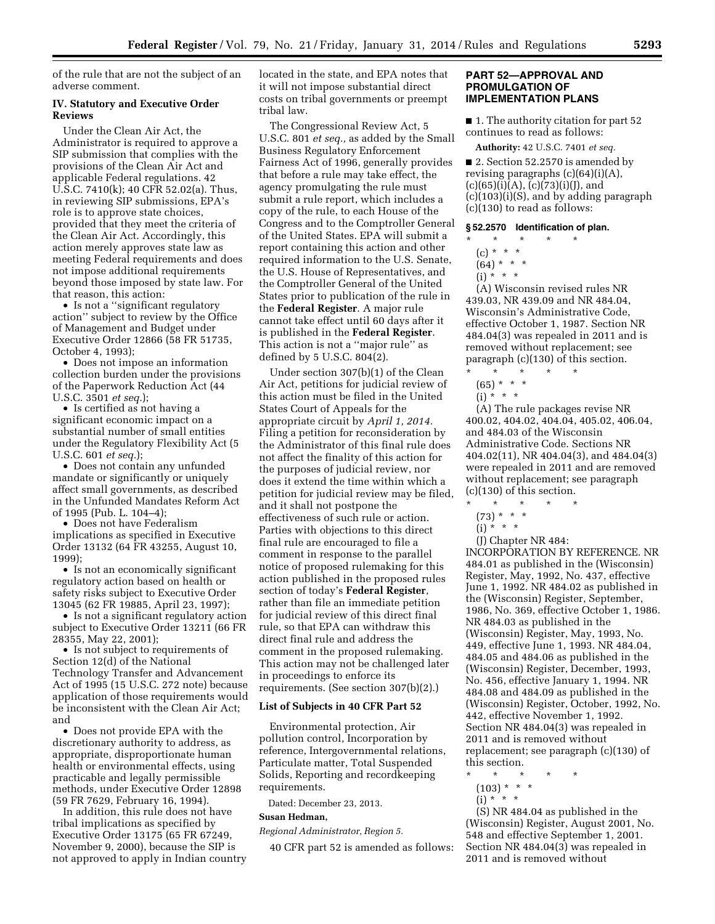of the rule that are not the subject of an adverse comment.

## **IV. Statutory and Executive Order Reviews**

Under the Clean Air Act, the Administrator is required to approve a SIP submission that complies with the provisions of the Clean Air Act and applicable Federal regulations. 42 U.S.C. 7410(k); 40 CFR 52.02(a). Thus, in reviewing SIP submissions, EPA's role is to approve state choices, provided that they meet the criteria of the Clean Air Act. Accordingly, this action merely approves state law as meeting Federal requirements and does not impose additional requirements beyond those imposed by state law. For that reason, this action:

• Is not a ''significant regulatory action'' subject to review by the Office of Management and Budget under Executive Order 12866 (58 FR 51735, October 4, 1993);

• Does not impose an information collection burden under the provisions of the Paperwork Reduction Act (44 U.S.C. 3501 *et seq.*);

• Is certified as not having a significant economic impact on a substantial number of small entities under the Regulatory Flexibility Act (5 U.S.C. 601 *et seq.*);

• Does not contain any unfunded mandate or significantly or uniquely affect small governments, as described in the Unfunded Mandates Reform Act of 1995 (Pub. L. 104–4);

• Does not have Federalism implications as specified in Executive Order 13132 (64 FR 43255, August 10, 1999);

• Is not an economically significant regulatory action based on health or safety risks subject to Executive Order 13045 (62 FR 19885, April 23, 1997);

• Is not a significant regulatory action subject to Executive Order 13211 (66 FR 28355, May 22, 2001);

• Is not subject to requirements of Section 12(d) of the National Technology Transfer and Advancement Act of 1995 (15 U.S.C. 272 note) because application of those requirements would be inconsistent with the Clean Air Act; and

• Does not provide EPA with the discretionary authority to address, as appropriate, disproportionate human health or environmental effects, using practicable and legally permissible methods, under Executive Order 12898 (59 FR 7629, February 16, 1994).

In addition, this rule does not have tribal implications as specified by Executive Order 13175 (65 FR 67249, November 9, 2000), because the SIP is not approved to apply in Indian country located in the state, and EPA notes that it will not impose substantial direct costs on tribal governments or preempt tribal law.

The Congressional Review Act, 5 U.S.C. 801 *et seq.,* as added by the Small Business Regulatory Enforcement Fairness Act of 1996, generally provides that before a rule may take effect, the agency promulgating the rule must submit a rule report, which includes a copy of the rule, to each House of the Congress and to the Comptroller General of the United States. EPA will submit a report containing this action and other required information to the U.S. Senate, the U.S. House of Representatives, and the Comptroller General of the United States prior to publication of the rule in the **Federal Register**. A major rule cannot take effect until 60 days after it is published in the **Federal Register**. This action is not a ''major rule'' as defined by 5 U.S.C. 804(2).

Under section 307(b)(1) of the Clean Air Act, petitions for judicial review of this action must be filed in the United States Court of Appeals for the appropriate circuit by *April 1, 2014.*  Filing a petition for reconsideration by the Administrator of this final rule does not affect the finality of this action for the purposes of judicial review, nor does it extend the time within which a petition for judicial review may be filed, and it shall not postpone the effectiveness of such rule or action. Parties with objections to this direct final rule are encouraged to file a comment in response to the parallel notice of proposed rulemaking for this action published in the proposed rules section of today's **Federal Register**, rather than file an immediate petition for judicial review of this direct final rule, so that EPA can withdraw this direct final rule and address the comment in the proposed rulemaking. This action may not be challenged later in proceedings to enforce its requirements. (See section 307(b)(2).)

# **List of Subjects in 40 CFR Part 52**

Environmental protection, Air pollution control, Incorporation by reference, Intergovernmental relations, Particulate matter, Total Suspended Solids, Reporting and recordkeeping requirements.

Dated: December 23, 2013.

### **Susan Hedman,**

*Regional Administrator, Region 5.* 

40 CFR part 52 is amended as follows:

### **PART 52—APPROVAL AND PROMULGATION OF IMPLEMENTATION PLANS**

■ 1. The authority citation for part 52 continues to read as follows:

**Authority:** 42 U.S.C. 7401 *et seq.* 

■ 2. Section 52.2570 is amended by revising paragraphs (c)(64)(i)(A),  $(c)(65)(i)(A), (c)(73)(i)(J), and$  $(c)(103)(i)(S)$ , and by adding paragraph (c)(130) to read as follows:

#### **§ 52.2570 Identification of plan.**

- \* \* \* \* \*
	- (c) \* \* \*
	- $(64) * * * *$
	- $(i) * * * *$

(A) Wisconsin revised rules NR 439.03, NR 439.09 and NR 484.04, Wisconsin's Administrative Code, effective October 1, 1987. Section NR 484.04(3) was repealed in 2011 and is removed without replacement; see paragraph (c)(130) of this section.

- $\star$   $\star$   $\star$   $\star$  $(65) * * * *$
- $(i) * * * *$
- (A) The rule packages revise NR 400.02, 404.02, 404.04, 405.02, 406.04, and 484.03 of the Wisconsin Administrative Code. Sections NR 404.02(11), NR 404.04(3), and 484.04(3) were repealed in 2011 and are removed without replacement; see paragraph
- (c)(130) of this section. \* \* \* \* \*
	-
	- $(73) * * * *$
	- (i)  $* * * *$

(J) Chapter NR 484:

INCORPORATION BY REFERENCE. NR 484.01 as published in the (Wisconsin) Register, May, 1992, No. 437, effective June 1, 1992. NR 484.02 as published in the (Wisconsin) Register, September, 1986, No. 369, effective October 1, 1986. NR 484.03 as published in the (Wisconsin) Register, May, 1993, No. 449, effective June 1, 1993. NR 484.04, 484.05 and 484.06 as published in the (Wisconsin) Register, December, 1993, No. 456, effective January 1, 1994. NR 484.08 and 484.09 as published in the (Wisconsin) Register, October, 1992, No. 442, effective November 1, 1992. Section NR 484.04(3) was repealed in 2011 and is removed without replacement; see paragraph (c)(130) of this section.

- \* \* \* \* \*
- $(103)$  \* \* \*
- $(i) * * * *$

(S) NR 484.04 as published in the (Wisconsin) Register, August 2001, No. 548 and effective September 1, 2001. Section NR 484.04(3) was repealed in 2011 and is removed without